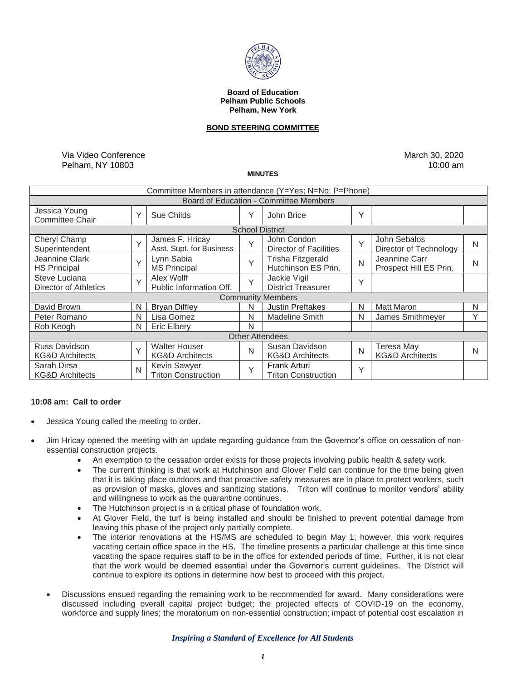

#### **Board of Education Pelham Public Schools Pelham, New York**

## **BOND STEERING COMMITTEE**

Via Video Conference Pelham, NY 10803

March 30, 2020 10:00 am

## **MINUTES**

| Committee Members in attendance (Y=Yes; N=No; P=Phone) |        |                                                    |              |                                                   |   |                                          |              |
|--------------------------------------------------------|--------|----------------------------------------------------|--------------|---------------------------------------------------|---|------------------------------------------|--------------|
| <b>Board of Education - Committee Members</b>          |        |                                                    |              |                                                   |   |                                          |              |
| Jessica Young<br><b>Committee Chair</b>                | Y      | Sue Childs                                         | Y            | John Brice                                        | Y |                                          |              |
| <b>School District</b>                                 |        |                                                    |              |                                                   |   |                                          |              |
| Cheryl Champ<br>Superintendent                         | $\vee$ | James F. Hricay<br>Asst. Supt. for Business        | Y            | John Condon<br>Director of Facilities             | Y | John Sebalos<br>Director of Technology   | N            |
| Jeannine Clark<br><b>HS Principal</b>                  | Y      | Lynn Sabia<br><b>MS Principal</b>                  | Y            | <b>Trisha Fitzgerald</b><br>Hutchinson ES Prin.   | N | Jeannine Carr<br>Prospect Hill ES Prin.  | N            |
| Steve Luciana<br>Director of Athletics                 | $\vee$ | Alex Wolff<br>Public Information Off.              | Y            | Jackie Vigil<br><b>District Treasurer</b>         | Y |                                          |              |
| <b>Community Members</b>                               |        |                                                    |              |                                                   |   |                                          |              |
| David Brown                                            | N      | <b>Bryan Diffley</b>                               | N            | <b>Justin Preftakes</b>                           | N | <b>Matt Maron</b>                        | N            |
| Peter Romano                                           | N      | Lisa Gomez                                         | N            | <b>Madeline Smith</b>                             | N | James Smithmeyer                         | $\checkmark$ |
| Rob Keogh                                              | N      | <b>Eric Elberv</b>                                 | N            |                                                   |   |                                          |              |
| <b>Other Attendees</b>                                 |        |                                                    |              |                                                   |   |                                          |              |
| Russ Davidson<br><b>KG&amp;D Architects</b>            | $\vee$ | <b>Walter Houser</b><br><b>KG&amp;D Architects</b> | N            | Susan Davidson<br><b>KG&amp;D Architects</b>      | N | Teresa May<br><b>KG&amp;D Architects</b> | N            |
| Sarah Dirsa<br><b>KG&amp;D Architects</b>              | N      | Kevin Sawyer<br><b>Triton Construction</b>         | $\checkmark$ | <b>Frank Arturi</b><br><b>Triton Construction</b> | Y |                                          |              |

# **10:08 am: Call to order**

- Jessica Young called the meeting to order.
- Jim Hricay opened the meeting with an update regarding guidance from the Governor's office on cessation of nonessential construction projects.
	- An exemption to the cessation order exists for those projects involving public health & safety work.
	- The current thinking is that work at Hutchinson and Glover Field can continue for the time being given that it is taking place outdoors and that proactive safety measures are in place to protect workers, such as provision of masks, gloves and sanitizing stations. Triton will continue to monitor vendors' ability and willingness to work as the quarantine continues.
	- The Hutchinson project is in a critical phase of foundation work.
	- At Glover Field, the turf is being installed and should be finished to prevent potential damage from leaving this phase of the project only partially complete.
	- The interior renovations at the HS/MS are scheduled to begin May 1; however, this work requires vacating certain office space in the HS. The timeline presents a particular challenge at this time since vacating the space requires staff to be in the office for extended periods of time. Further, it is not clear that the work would be deemed essential under the Governor's current guidelines. The District will continue to explore its options in determine how best to proceed with this project.
	- Discussions ensued regarding the remaining work to be recommended for award. Many considerations were discussed including overall capital project budget; the projected effects of COVID-19 on the economy, workforce and supply lines; the moratorium on non-essential construction; impact of potential cost escalation in

#### *Inspiring a Standard of Excellence for All Students*